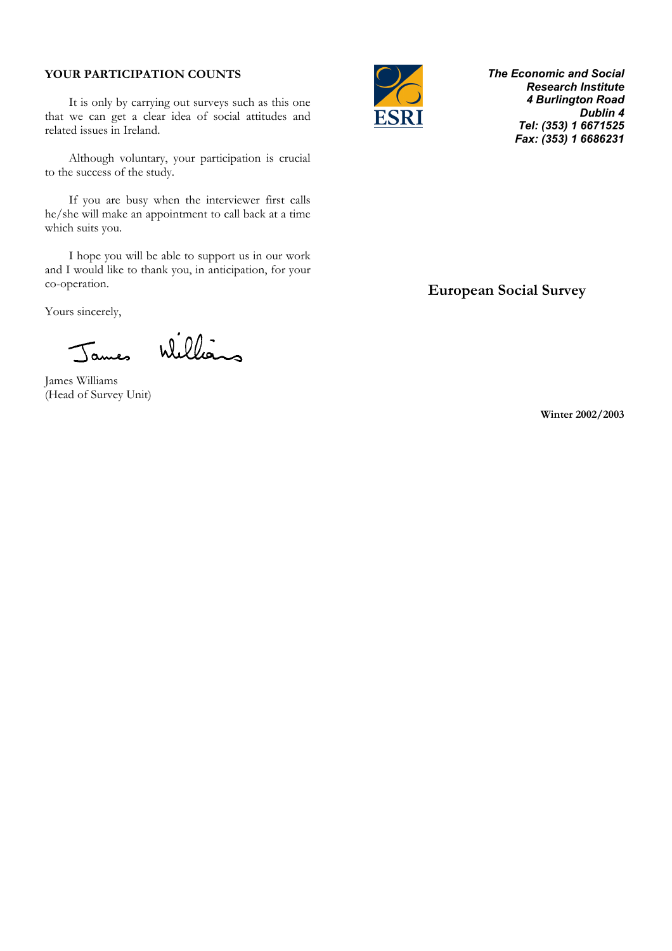## **YOUR PARTICIPATION COUNTS**

It is only by carrying out surveys such as this one that we can get a clear idea of social attitudes and related issues in Ireland.

Although voluntary, your participation is crucial to the success of the study.

 If you are busy when the interviewer first calls he/she will make an appointment to call back at a time which suits you.

 I hope you will be able to support us in our work and I would like to thank you, in anticipation, for your co-operation.

Yours sincerely,

James Williams

James Williams (Head of Survey Unit)



*The Economic and Social Research Institute 4 Burlington Road Dublin 4 Tel: (353) 1 6671525 Fax: (353) 1 6686231* 

 **European Social Survey** 

**Winter 2002/2003**